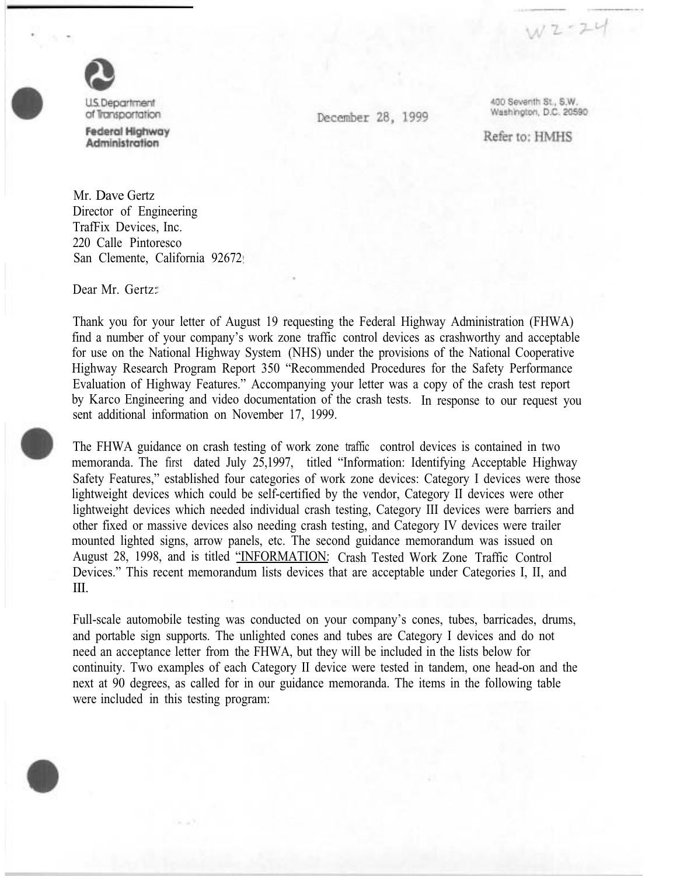

of Transportation **Federal Highway** Administration

December 28, 1999

400 Seventh St., S.W. Washington, D.C. 20590

 $W2 - 24$ 

Refer to: HMHS

Mr. Dave Gertz Director of Engineering TrafFix Devices, Inc. 220 Calle Pintoresco San Clemente, California 92672

Dear Mr. Gertz:

Thank you for your letter of August 19 requesting the Federal Highway Administration (FHWA) find a number of your company's work zone traffic control devices as crashworthy and acceptable for use on the National Highway System (NHS) under the provisions of the National Cooperative Highway Research Program Report 350 "Recommended Procedures for the Safety Performance Evaluation of Highway Features." Accompanying your letter was a copy of the crash test report by Karco Engineering and video documentation of the crash tests. In response to our request you sent additional information on November 17, 1999.

The FHWA guidance on crash testing of work zone traffic control devices is contained in two memoranda. The first dated July 25,1997, titled "Information: Identifying Acceptable Highway Safety Features," established four categories of work zone devices: Category I devices were those lightweight devices which could be self-certified by the vendor, Category II devices were other lightweight devices which needed individual crash testing, Category III devices were barriers and other fixed or massive devices also needing crash testing, and Category IV devices were trailer mounted lighted signs, arrow panels, etc. The second guidance memorandum was issued on August 28, 1998, and is titled "INFORMATION: Crash Tested Work Zone Traffic Control Devices." This recent memorandum lists devices that are acceptable under Categories I, II, and III.

Full-scale automobile testing was conducted on your company's cones, tubes, barricades, drums, and portable sign supports. The unlighted cones and tubes are Category I devices and do not need an acceptance letter from the FHWA, but they will be included in the lists below for continuity. Two examples of each Category II device were tested in tandem, one head-on and the next at 90 degrees, as called for in our guidance memoranda. The items in the following table were included in this testing program: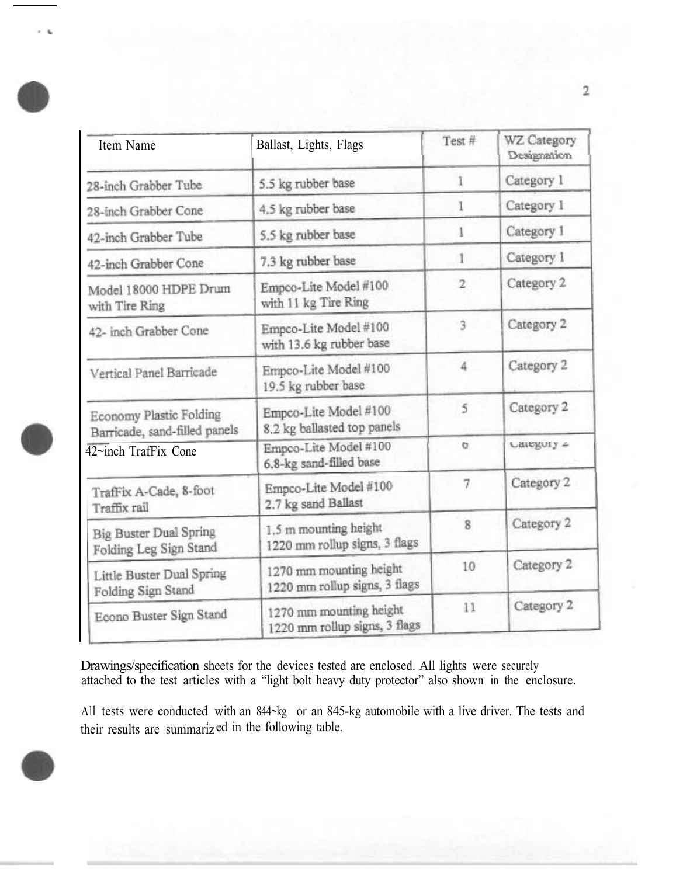| Item Name                                                | Ballast, Lights, Flags                                   | Test#          | WZ Category<br>Designation |
|----------------------------------------------------------|----------------------------------------------------------|----------------|----------------------------|
| 28-inch Grabber Tube                                     | 5.5 kg rubber base                                       |                | Category 1                 |
| 28-inch Grabber Cone                                     | 4.5 kg rubber base                                       |                | Category 1                 |
| 42-inch Grabber Tube                                     | 5.5 kg rubber base                                       |                | Category 1                 |
| 42-inch Grabber Cone                                     | 7.3 kg rubber base                                       | T              | Category 1                 |
| Model 18000 HDPE Drum<br>with Tire Ring                  | Empco-Lite Model #100<br>with 11 kg Tire Ring            | $\overline{2}$ | Category 2                 |
| 42- inch Grabber Cone                                    | Empco-Lite Model #100<br>with 13.6 kg rubber base        | 3              | Category 2                 |
| Vertical Panel Barricade                                 | Empco-Lite Model #100<br>19.5 kg rubber base             | $\overline{4}$ | Category 2                 |
| Economy Plastic Folding<br>Barricade, sand-filled panels | Empco-Lite Model #100<br>8.2 kg ballasted top panels     | 5              | Category 2                 |
| $42$ ~inch TrafFix Cone                                  | Empco-Lite Model #100<br>6.8-kg sand-filled base         | o              | Category 2                 |
| TrafFix A-Cade, 8-foot<br>Traffix rail                   | Empco-Lite Model #100<br>2.7 kg sand Ballast             | 7              | Category 2                 |
| <b>Big Buster Dual Spring</b><br>Folding Leg Sign Stand  | 1.5 m mounting height<br>1220 mm rollup signs, 3 flags   | 8              | Category 2                 |
| Little Buster Dual Spring<br>Folding Sign Stand          | 1270 mm mounting height<br>1220 mm rollup signs, 3 flags | 10             | Category 2                 |
| Econo Buster Sign Stand                                  | 1270 mm mounting height<br>1220 mm rollup signs, 3 flags | 11             | Category 2                 |

 $\sim -\eta_{\rm p}$ 

Drawings/specification sheets for the devices tested are enclosed. All lights were securely attached to the test articles with a "light bolt heavy duty protector" also shown in the enclosure.

All tests were conducted with an 844~kg or an 845-kg automobile with a live driver. The tests and their results are summarized in the following table.

 $\overline{2}$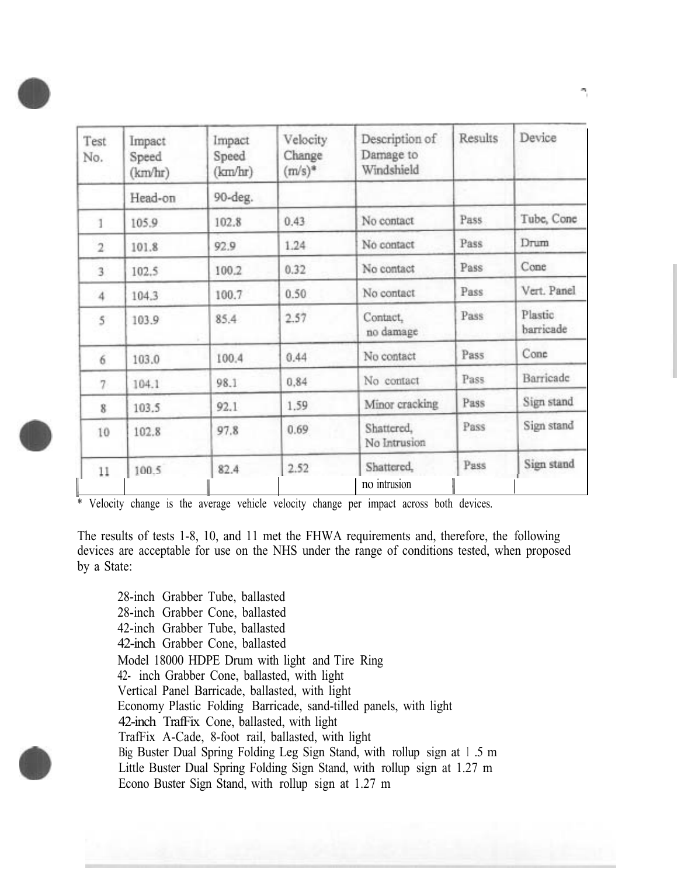| Test<br>No.    | Impact<br>Speed<br>(km/hr) | Impact<br>Speed<br>(km/hr) | Velocity<br>Change<br>$(m/s)^*$ | Description of<br>Damage to<br>Windshield | Results | Device               |
|----------------|----------------------------|----------------------------|---------------------------------|-------------------------------------------|---------|----------------------|
|                | Head-on                    | 90-deg.                    |                                 |                                           |         |                      |
|                | 105.9                      | 102.8                      | 0.43                            | No contact                                | Pass    | Tube, Cone           |
| $\overline{2}$ | 101.8                      | 92.9                       | 1.24                            | No contact                                | Pass    | Drum                 |
| $\overline{3}$ | 102.5                      | 100.2                      | 0.32                            | No contact                                | Pass    | Cone                 |
| 4              | 104.3                      | 100.7                      | 0.50                            | No contact                                | Pass    | Vert. Panel          |
| $5^{\circ}$    | 103.9                      | 85.4                       | 2.57                            | Contact,<br>no damage                     | Pass    | Plastic<br>barricade |
| 6              | 103.0                      | 100.4                      | 0.44                            | No contact                                | Pass    | Cone                 |
| 7              | 104.1                      | 98.1                       | 0.84                            | No contact                                | Pass    | Barricade            |
| 8              | 103.5                      | 92.1                       | 1.59                            | Minor cracking                            | Pass    | Sign stand           |
| 10             | 102.8                      | 97.8                       | 0.69                            | Shattered,<br>No Intrusion                | Pass    | Sign stand           |
| 11             | 100.5                      | 82.4                       | 2.52                            | Shattered,<br>no intrusion                | Pass    | Sign stand           |

\* Velocity change is the average vehicle velocity change per impact across both devices.

The results of tests 1-8, 10, and 11 met the FHWA requirements and, therefore, the following devices are acceptable for use on the NHS under the range of conditions tested, when proposed by a State:

28-inch Grabber Tube, ballasted 28-inch Grabber Cone, ballasted 42-inch Grabber Tube, ballasted 42-inch Grabber Cone, ballasted Model 18000 HDPE Drum with light and Tire Ring 42- inch Grabber Cone, ballasted, with light Vertical Panel Barricade, ballasted, with light Economy Plastic Folding Barricade, sand-tilled panels, with light 42-inch TrafFix Cone, ballasted, with light TrafFix A-Cade, 8-foot rail, ballasted, with light Big Buster Dual Spring Folding Leg Sign Stand, with rollup sign at 1 .5 m Little Buster Dual Spring Folding Sign Stand, with rollup sign at 1.27 m Econo Buster Sign Stand, with rollup sign at 1.27 m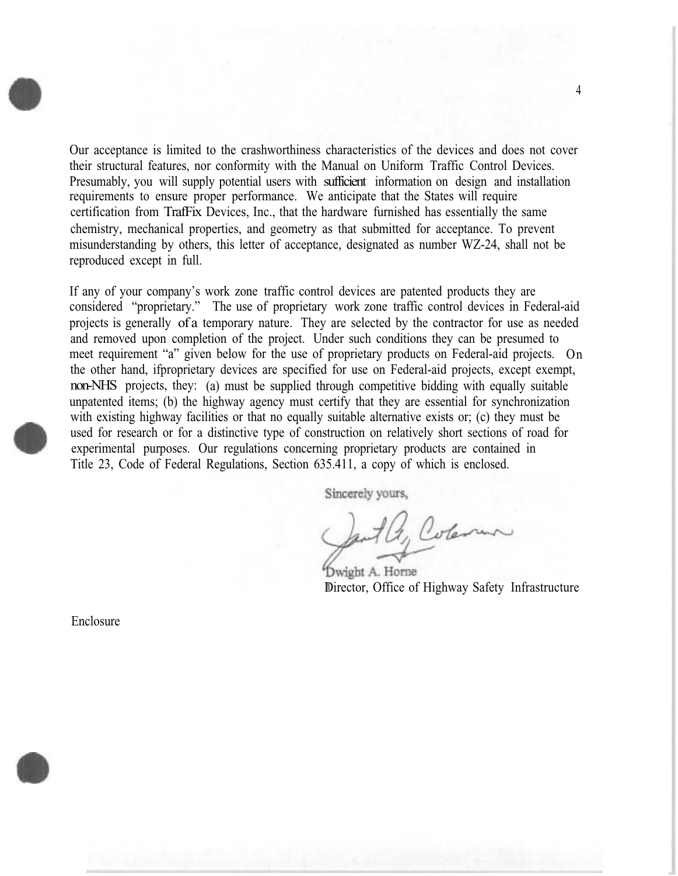Our acceptance is limited to the crashworthiness characteristics of the devices and does not cover their structural features, nor conformity with the Manual on Uniform Traffic Control Devices. Presumably, you will supply potential users with sufficient information on design and installation requirements to ensure proper performance. We anticipate that the States will require certification from TrafFix Devices, Inc., that the hardware furnished has essentially the same chemistry, mechanical properties, and geometry as that submitted for acceptance. To prevent misunderstanding by others, this letter of acceptance, designated as number WZ-24, shall not be reproduced except in full.

If any of your company's work zone traffic control devices are patented products they are considered "proprietary." The use of proprietary work zone traffic control devices in Federal-aid projects is generally of a temporary nature. They are selected by the contractor for use as needed and removed upon completion of the project. Under such conditions they can be presumed to meet requirement "a" given below for the use of proprietary products on Federal-aid projects. On the other hand, ifproprietary devices are specified for use on Federal-aid projects, except exempt, non-NHS projects, they: (a) must be supplied through competitive bidding with equally suitable unpatented items; (b) the highway agency must certify that they are essential for synchronization with existing highway facilities or that no equally suitable alternative exists or; (c) they must be used for research or for a distinctive type of construction on relatively short sections of road for experimental purposes. Our regulations concerning proprietary products are contained in Title 23, Code of Federal Regulations, Section 635.411, a copy of which is enclosed.

Sincerely yours,

aut a, Coleman

Dwight A. Horne Director, Office of Highway Safety Infrastructure

Enclosure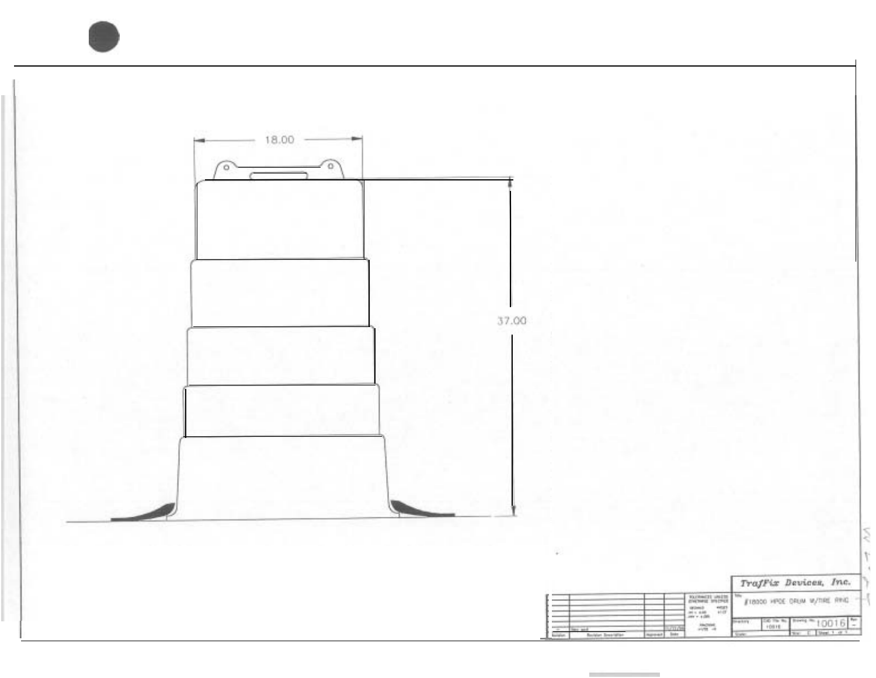

**Contract Contract**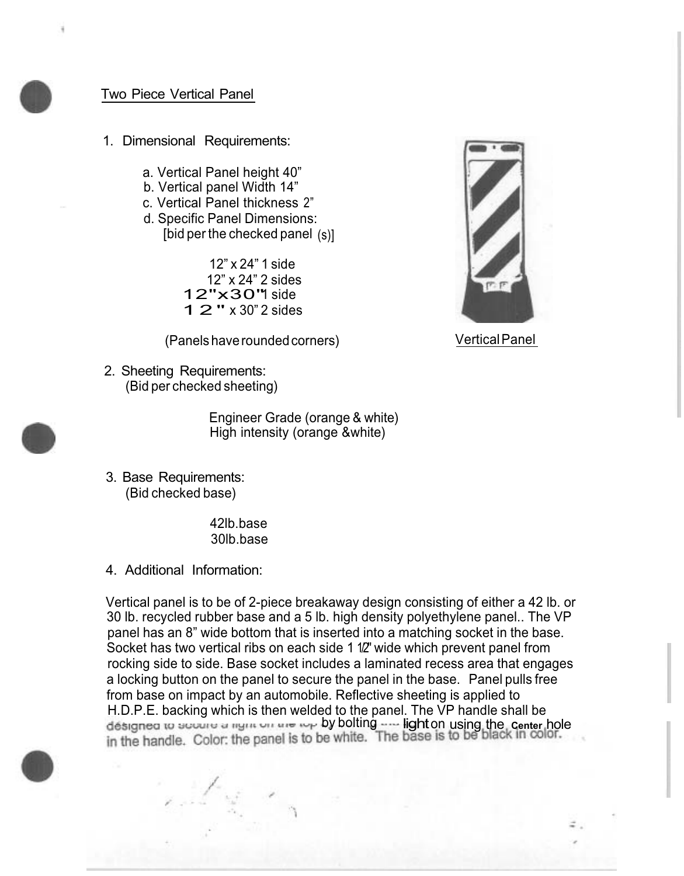## Two Piece Vertical Panel

- 1. Dimensional Requirements:
	- a. Vertical Panel height 40"
	- b. Vertical panel Width 14"
	- c. Vertical Panel thickness 2"
	- d. Specific Panel Dimensions: [bid per the checked panel (s)]

12" x 24" 1 side 12" x 24" 2 sides 12"x30" side 12" x 30" 2 sides

(Panels have rounded corners)

2. Sheeting Requirements: (Bid per checked sheeting)

Vertical Panel

- Engineer Grade (orange & white) High intensity (orange &white)
- 3. Base Requirements: (Bid checked base)

42lb.base 30lb.base

4. Additional Information:

Vertical panel is to be of 2-piece breakaway design consisting of either a 42 lb. or 30 lb. recycled rubber base and a 5 lb. high density polyethylene panel.. The VP panel has an 8" wide bottom that is inserted into a matching socket in the base. Socket has two vertical ribs on each side 1 1/2" wide which prevent panel from rocking side to side. Base socket includes a laminated recess area that engages a locking button on the panel to secure the panel in the base. Panel pulls free from base on impact by an automobile. Reflective sheeting is applied to H.D.P.E. backing which is then welded to the panel. The VP handle shall be designed to secure a ngin on the rep by bolting **underlighton using the center** hole in the handle. Color: the panel is to be white. The base is to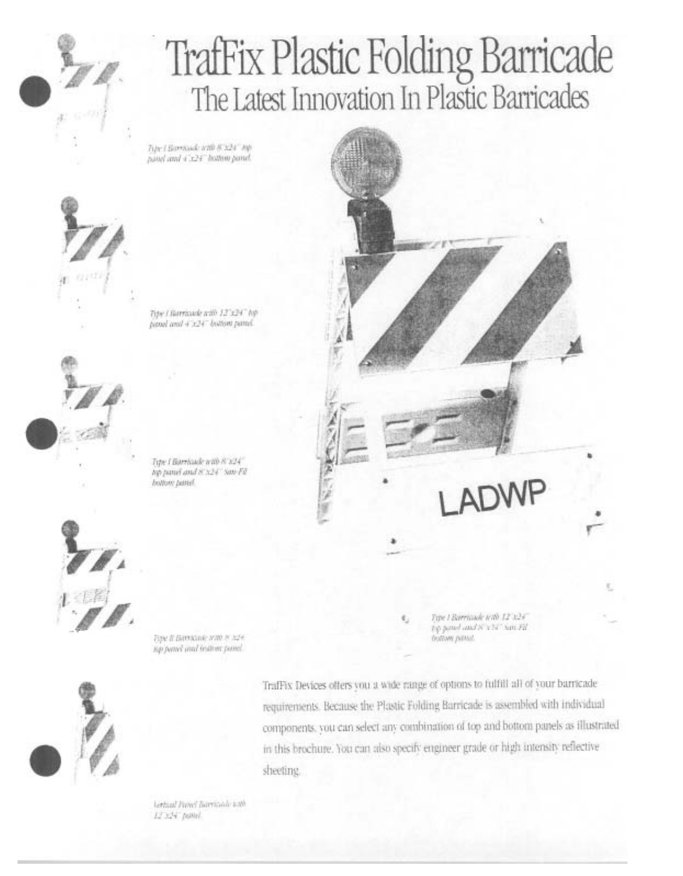

## TrafFix Plastic Folding Barricade<br>The Latest Innovation In Plastic Barricades

Tipe I Barricule with 8 x24" top. panel and 4'x24" hottom panel.



Tipe / Barricule with 12"x24" hip panel and 4 x24" bottom panel.



Tipe I Barrhaide with 8' x24" top panel and 8'x24" san-Fil hottom pattel



Торе В Витлоне наб н хре sup period and trattore passel.



TrafFix Devices offers you a wide range of options to fulfill all of your barricade requirements. Because the Plastic Folding Barricade is assembled with individual components, you can select any combination of top and bottom panels as illustrated in this brochure. You can also specify engineer grade or high intensity reflective sheeting.

lettual Panel Barricole with 12'324' patter.

Tipe I Borritade with 12 x24" €,

top panel and S'x N' San Fil Survey www.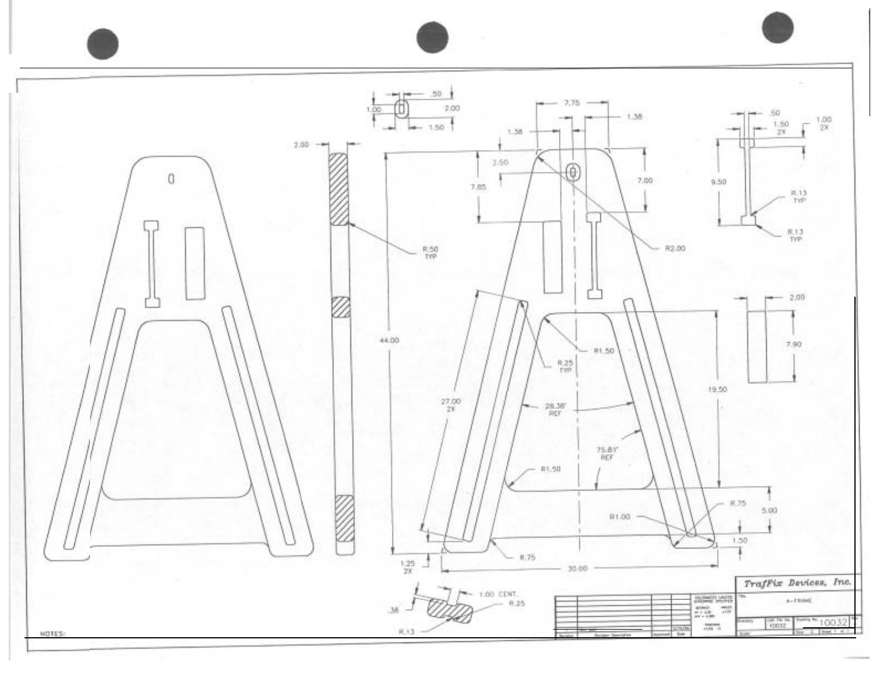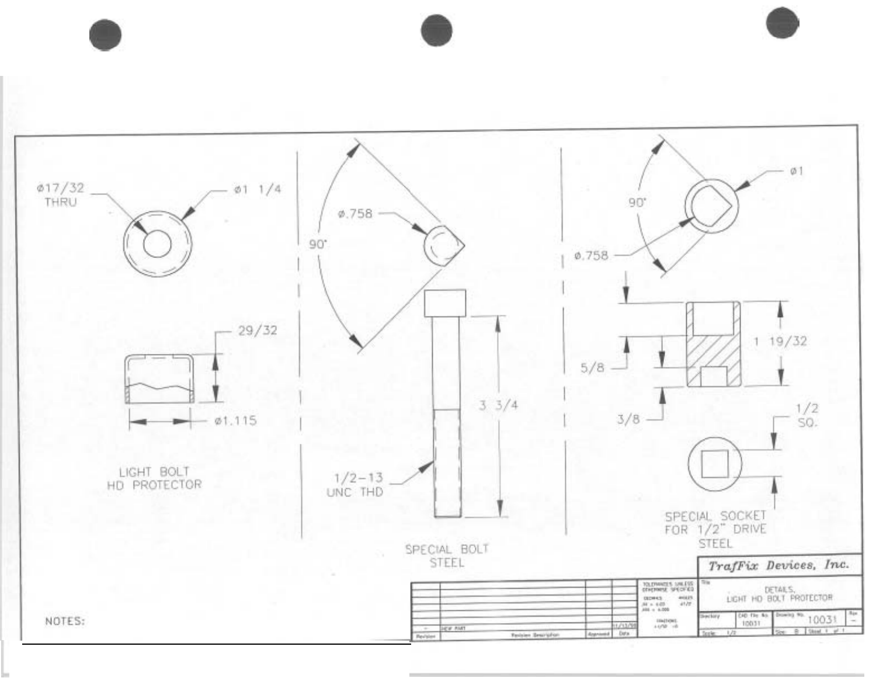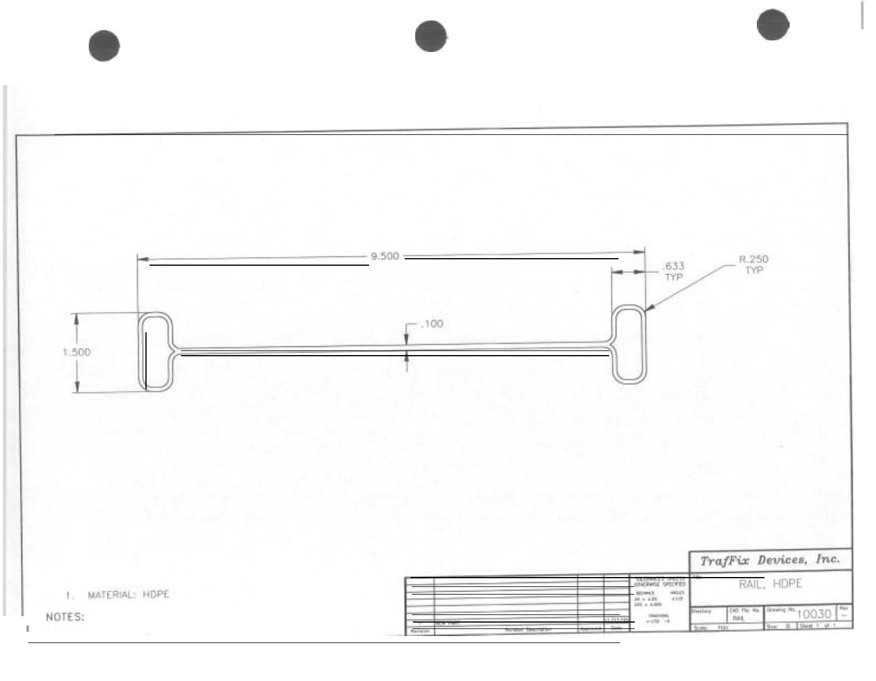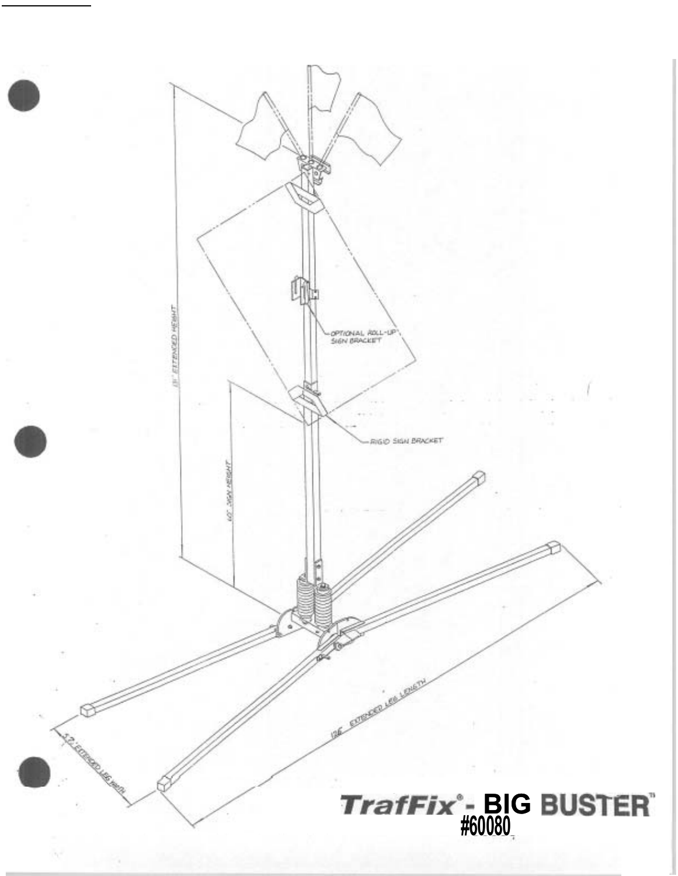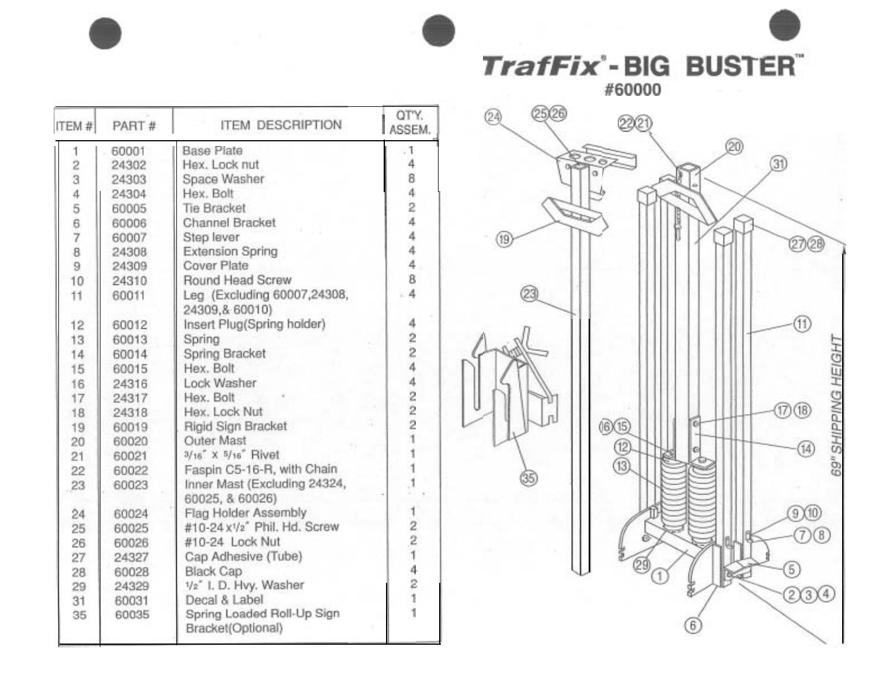TrafFix<sup>-</sup>BIG BUSTER

#60000



| ITEM#          | PART# | <b>ITEM DESCRIPTION</b>                         | QTY.<br>ASSEM                                  |
|----------------|-------|-------------------------------------------------|------------------------------------------------|
| 1              | 60001 | <b>Base Plate</b>                               | . 1                                            |
| $\overline{c}$ | 24302 | Hex. Lock nut                                   | 4                                              |
| 3              | 24303 | Space Washer                                    | 8                                              |
| 4              | 24304 | Hex. Bolt                                       | 4                                              |
| 567            | 60005 | <b>Tie Bracket</b>                              | $\overline{a}$                                 |
|                | 60006 | Channel Bracket                                 | 4                                              |
|                | 60007 | Step lever                                      | 4                                              |
| 8              | 24308 | <b>Extension Spring</b>                         | $\overline{4}$                                 |
| 9              | 24309 | Cover Plate                                     | 4                                              |
| 10             | 24310 | Round Head Screw                                | 8                                              |
| 11             | 60011 | Leg (Excluding 60007,24308,<br>24309,& 60010)   | 4                                              |
| 12             | 60012 | Insert Plug(Spring holder)                      | 4                                              |
| 13             | 60013 | Spring                                          | 2                                              |
| 14             | 60014 | Spring Bracket                                  | $\overline{c}$                                 |
| 15             | 60015 | Hex. Bolt                                       | $\overline{4}$                                 |
| 16             | 24316 | Lock Washer                                     | $\overline{4}$                                 |
| 17             | 24317 | Hex. Bolt                                       | $\overline{\mathbf{c}}$                        |
| 18             | 24318 | Hex. Lock Nut                                   | $\frac{2}{2}$                                  |
| 19             | 60019 | Rigid Sign Bracket                              |                                                |
| 20             | 60020 | Outer Mast                                      |                                                |
| 21             | 60021 | $3/16$ " X $5/16$ " Rivet                       |                                                |
| 22             | 60022 | Faspin C5-16-R, with Chain                      |                                                |
| 23             | 60023 | Inner Mast (Excluding 24324,<br>60025, & 60026) |                                                |
| 24             | 60024 | Flag Holder Assembly                            |                                                |
| 25             | 60025 | #10-24 x1/2" Phil. Hd. Screw                    | $\begin{array}{c}\n 2 \\ 2 \\ 1\n \end{array}$ |
| 26             | 60026 | #10-24 Lock Nut                                 |                                                |
| 27             | 24327 | Cap Adhesive (Tube)                             |                                                |
| 28             | 60028 | <b>Black Cap</b>                                | 4                                              |
| 29             | 24329 | 1/2" I. D. Hvy. Washer                          | $\overline{2}$                                 |
| 31             | 60031 | Decal & Label                                   | Ì                                              |
| 35             | 60035 | Spring Loaded Roll-Up Sign<br>Bracket(Optional) |                                                |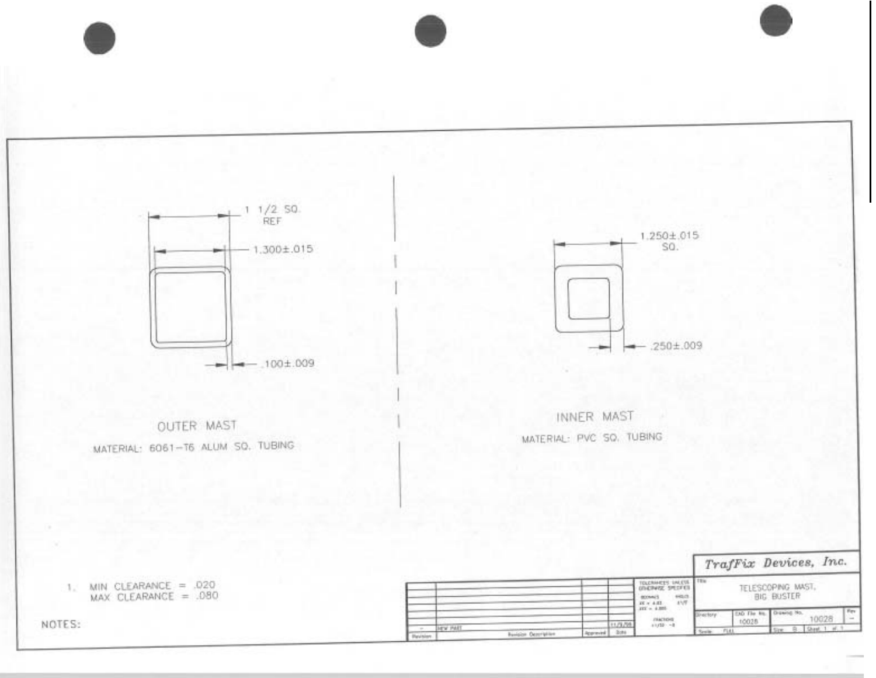

**HEW PART** 

 $\begin{tabular}{ll} \bf 828843 & \tt 9513 \\ \bf 87 \times 4.01 & \tt 1577 \\ \bf 187 \times 4.03 \\ \end{tabular}$ 

 $7982108$ 

11/379

Approved 3:01

**Banklor Octorigine** 

**Perform** 

EAD The liq. Drawing No.<br>10028

10028

 $B = 2$  Met. 1

NOTES: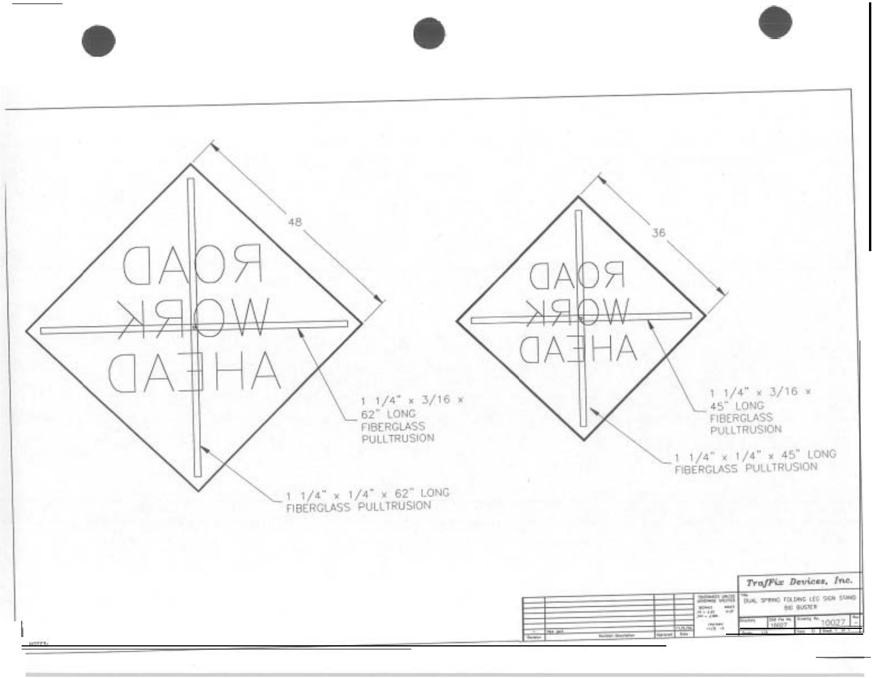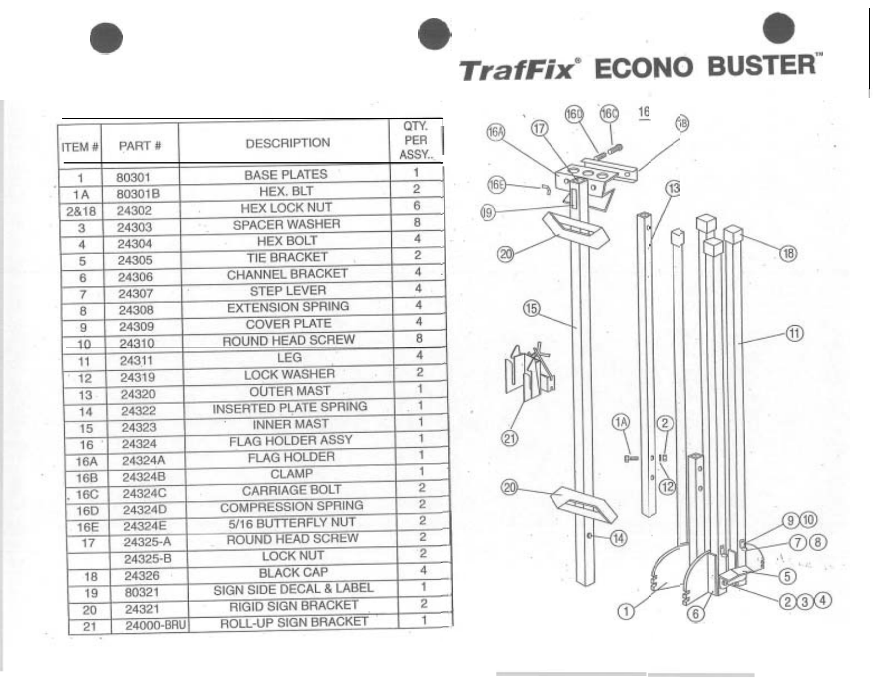**TrafFix**<sup>®</sup> ECONO BUSTER®

| ITEM#           | PART #    | <b>DESCRIPTION</b>               | QTY.<br>PER<br>ASSY |
|-----------------|-----------|----------------------------------|---------------------|
| 1               | 80301     | <b>BASE PLATES</b>               | 1                   |
| 1A              | 80301B    | HEX. BLT                         | $\overline{2}$      |
| 2818            | 24302     | <b>HEX LOCK NUT</b><br>$\lambda$ | 6                   |
| 3               | 24303     | <b>SPACER WASHER</b><br>×        | 8                   |
| $\overline{4}$  | 24304     | <b>HEX BOLT</b>                  | 4                   |
| 5               | 24305     | TIE BRACKET                      | $\overline{2}$      |
| 6               | 24306     | CHANNEL BRACKET                  | 4                   |
| 7               | 24307     | <b>STEP LEVER</b>                | 4                   |
| 8               | 24308     | <b>EXTENSION SPRING</b>          | 4                   |
| 9               | 24309     | <b>COVER PLATE</b>               | 4                   |
| 10              | 24310     | ROUND HEAD SCREW                 | 8                   |
| 11              | 24311     | LEG                              | 4                   |
| 12              | 24319     | <b>LOCK WASHER</b>               | 2                   |
| 13              | 24320     | <b>OUTER MAST</b>                | 1                   |
| 14              | 24322     | INSERTED PLATE SPRING            | 1                   |
| 15              | 24323     | <b>INNER MAST</b>                | 1                   |
| 16              | 24324     | FLAG HOLDER ASSY                 | $\overline{1}$      |
| 16A             | 24324A    | <b>FLAG HOLDER</b>               | 1                   |
| <b>16B</b>      | 24324B    | CLAMP                            | 1                   |
| <b>16C</b>      | 24324C    | <b>CARRIAGE BOLT</b>             | $\overline{2}$      |
| 16 <sub>D</sub> | 24324D    | <b>COMPRESSION SPRING</b>        | 2                   |
| <b>16E</b>      | 24324E    | 5/16 BUTTERFLY NUT               | $\overline{2}$      |
| 17              | 24325-A   | ROUND HEAD SCREW                 | $\overline{c}$      |
|                 | 24325-B   | <b>LOCK NUT</b>                  | $\overline{2}$      |
| 18              | 24326     | <b>BLACK CAP</b>                 | 4                   |
| 19              | 80321     | SIGN SIDE DECAL & LABEL          | 1                   |
| 20              | 24321     | <b>RIGID SIGN BRACKET</b>        | 2                   |
| 21              | 24000-BRU | ROLL-UP SIGN BRACKET             | ī                   |